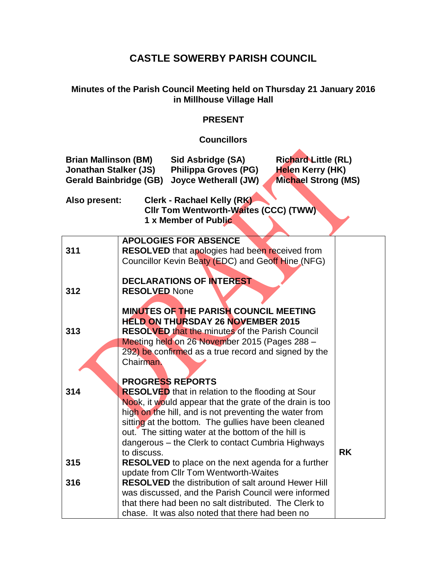## **CASTLE SOWERBY PARISH COUNCIL**

## **Minutes of the Parish Council Meeting held on Thursday 21 January 2016 in Millhouse Village Hall**

## **PRESENT**

## **Councillors**

 $\blacktriangle$ 

| <b>Brian Mallinson (BM)</b><br>Sid Asbridge (SA)<br><b>Richard Little (RL)</b><br><b>Jonathan Stalker (JS)</b><br><b>Philippa Groves (PG)</b><br>Helen Kerry (HK)<br><b>Gerald Bainbridge (GB)</b><br><b>Joyce Wetherall (JW)</b><br><b>Michael Strong (MS)</b> |                                                                                                                                                                                                                                                                         |           |  |  |  |  |  |  |
|-----------------------------------------------------------------------------------------------------------------------------------------------------------------------------------------------------------------------------------------------------------------|-------------------------------------------------------------------------------------------------------------------------------------------------------------------------------------------------------------------------------------------------------------------------|-----------|--|--|--|--|--|--|
| Clerk - Rachael Kelly (RK)<br>Also present:<br><b>CIIr Tom Wentworth-Waites (CCC) (TWW)</b><br>1 x Member of Public                                                                                                                                             |                                                                                                                                                                                                                                                                         |           |  |  |  |  |  |  |
| 311                                                                                                                                                                                                                                                             | <b>APOLOGIES FOR ABSENCE</b><br><b>RESOLVED</b> that apologies had been received from<br>Councillor Kevin Beaty (EDC) and Geoff Hine (NFG)                                                                                                                              |           |  |  |  |  |  |  |
| 312                                                                                                                                                                                                                                                             | <b>DECLARATIONS OF INTEREST</b><br><b>RESOLVED None</b>                                                                                                                                                                                                                 |           |  |  |  |  |  |  |
| 313                                                                                                                                                                                                                                                             | <b>MINUTES OF THE PARISH COUNCIL MEETING</b><br><b>HELD ON THURSDAY 26 NOVEMBER 2015</b><br><b>RESOLVED that the minutes of the Parish Council</b><br>Meeting held on 26 November 2015 (Pages 288 -<br>292) be confirmed as a true record and signed by the<br>Chairman |           |  |  |  |  |  |  |
| 314                                                                                                                                                                                                                                                             | <b>PROGRESS REPORTS</b><br><b>RESOLVED</b> that in relation to the flooding at Sour<br>Nook, it would appear that the grate of the drain is too<br>high on the hill, and is not preventing the water from                                                               |           |  |  |  |  |  |  |
|                                                                                                                                                                                                                                                                 | sitting at the bottom. The gullies have been cleaned<br>out. The sitting water at the bottom of the hill is<br>dangerous - the Clerk to contact Cumbria Highways<br>to discuss.                                                                                         | <b>RK</b> |  |  |  |  |  |  |
| 315                                                                                                                                                                                                                                                             | <b>RESOLVED</b> to place on the next agenda for a further<br>update from CIIr Tom Wentworth-Waites                                                                                                                                                                      |           |  |  |  |  |  |  |
| 316                                                                                                                                                                                                                                                             | <b>RESOLVED</b> the distribution of salt around Hewer Hill<br>was discussed, and the Parish Council were informed<br>that there had been no salt distributed. The Clerk to<br>chase. It was also noted that there had been no                                           |           |  |  |  |  |  |  |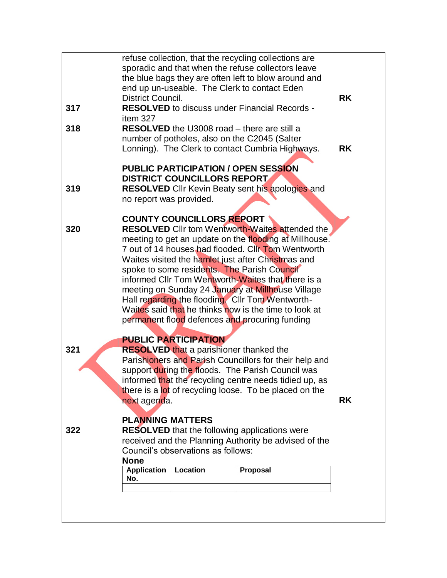| 317<br>318 | District Council.<br>item 327                                                                                                                                                                                                                                                                                                                                                                                                                                                                                                                                                                                            |                                                | refuse collection, that the recycling collections are<br>sporadic and that when the refuse collectors leave<br>the blue bags they are often left to blow around and<br>end up un-useable. The Clerk to contact Eden<br><b>RESOLVED</b> to discuss under Financial Records -<br><b>RESOLVED</b> the U3008 road – there are still a<br>number of potholes, also on the C2045 (Salter<br>Lonning). The Clerk to contact Cumbria Highways. |  | <b>RK</b><br><b>RK</b> |
|------------|--------------------------------------------------------------------------------------------------------------------------------------------------------------------------------------------------------------------------------------------------------------------------------------------------------------------------------------------------------------------------------------------------------------------------------------------------------------------------------------------------------------------------------------------------------------------------------------------------------------------------|------------------------------------------------|----------------------------------------------------------------------------------------------------------------------------------------------------------------------------------------------------------------------------------------------------------------------------------------------------------------------------------------------------------------------------------------------------------------------------------------|--|------------------------|
| 319        | no report was provided.                                                                                                                                                                                                                                                                                                                                                                                                                                                                                                                                                                                                  | <b>DISTRICT COUNCILLORS REPORT</b>             | <b>PUBLIC PARTICIPATION / OPEN SESSION</b><br><b>RESOLVED</b> Cllr Kevin Beaty sent his apologies and                                                                                                                                                                                                                                                                                                                                  |  |                        |
| 320        | <b>COUNTY COUNCILLORS REPORT</b><br><b>RESOLVED</b> Cllr tom Wentworth-Waites attended the<br>meeting to get an update on the flooding at Millhouse.<br>7 out of 14 houses had flooded. Clir Tom Wentworth<br>Waites visited the hamlet just after Christmas and<br>spoke to some residents. The Parish Council<br>informed Cllr Tom Wentworth-Waites that there is a<br>meeting on Sunday 24 January at Millhouse Village<br>Hall regarding the flooding. Cllr Tom Wentworth-<br>Waites said that he thinks now is the time to look at<br>permanent flood defences and procuring funding<br><b>PUBLIC PARTICIPATION</b> |                                                |                                                                                                                                                                                                                                                                                                                                                                                                                                        |  |                        |
| 321        | <b>RESOLVED that a parishioner thanked the</b><br>Parishioners and Parish Councillors for their help and<br>support during the floods. The Parish Council was<br>informed that the recycling centre needs tidied up, as<br>there is a lot of recycling loose. To be placed on the<br>next agenda.                                                                                                                                                                                                                                                                                                                        | <b>RK</b>                                      |                                                                                                                                                                                                                                                                                                                                                                                                                                        |  |                        |
| 322        | <b>PLANNING MATTERS</b><br><b>None</b><br><b>Application</b><br>No.                                                                                                                                                                                                                                                                                                                                                                                                                                                                                                                                                      | Council's observations as follows:<br>Location | <b>RESOLVED</b> that the following applications were<br>received and the Planning Authority be advised of the<br>Proposal                                                                                                                                                                                                                                                                                                              |  |                        |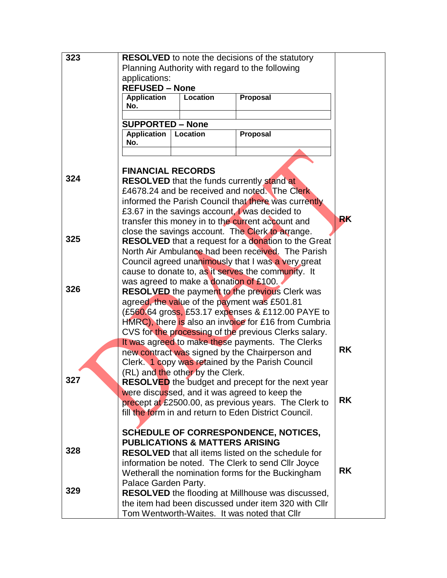| 323 | <b>RESOLVED</b> to note the decisions of the statutory                                                          |                                           |                                                           |           |  |  |  |  |
|-----|-----------------------------------------------------------------------------------------------------------------|-------------------------------------------|-----------------------------------------------------------|-----------|--|--|--|--|
|     | Planning Authority with regard to the following                                                                 |                                           |                                                           |           |  |  |  |  |
|     | applications:                                                                                                   |                                           |                                                           |           |  |  |  |  |
|     | <b>REFUSED - None</b>                                                                                           |                                           |                                                           |           |  |  |  |  |
|     | <b>Application</b>                                                                                              | Location                                  | Proposal                                                  |           |  |  |  |  |
|     | No.                                                                                                             |                                           |                                                           |           |  |  |  |  |
|     | <b>SUPPORTED - None</b>                                                                                         |                                           |                                                           |           |  |  |  |  |
|     | <b>Application</b>                                                                                              | Location                                  | Proposal                                                  |           |  |  |  |  |
|     | No.                                                                                                             |                                           |                                                           |           |  |  |  |  |
|     |                                                                                                                 |                                           |                                                           |           |  |  |  |  |
|     | <b>FINANCIAL RECORDS</b>                                                                                        |                                           |                                                           |           |  |  |  |  |
| 324 |                                                                                                                 |                                           | <b>RESOLVED</b> that the funds currently stand at         |           |  |  |  |  |
|     |                                                                                                                 |                                           |                                                           |           |  |  |  |  |
|     | £4678.24 and be received and noted. The Clerk<br>informed the Parish Council that there was currently           |                                           |                                                           |           |  |  |  |  |
|     | £3.67 in the savings account, was decided to                                                                    |                                           |                                                           |           |  |  |  |  |
|     | <b>RK</b><br>transfer this money in to the current account and                                                  |                                           |                                                           |           |  |  |  |  |
|     | close the savings account. The Clerk to arrange.                                                                |                                           |                                                           |           |  |  |  |  |
| 325 | <b>RESOLVED</b> that a request for a donation to the Great                                                      |                                           |                                                           |           |  |  |  |  |
|     |                                                                                                                 |                                           | North Air Ambulance had been received. The Parish         |           |  |  |  |  |
|     |                                                                                                                 |                                           | Council agreed unanimously that I was a very great        |           |  |  |  |  |
|     |                                                                                                                 |                                           | cause to donate to, as it serves the community. It        |           |  |  |  |  |
|     |                                                                                                                 | was agreed to make a donation of £100.    |                                                           |           |  |  |  |  |
| 326 |                                                                                                                 |                                           | <b>RESOLVED</b> the payment to the previous Clerk was     |           |  |  |  |  |
|     | agreed, the value of the payment was £501.81                                                                    |                                           |                                                           |           |  |  |  |  |
|     | (£560.64 gross, £53.17 expenses & £112.00 PAYE to                                                               |                                           |                                                           |           |  |  |  |  |
|     | HMRC), there is also an invoice for £16 from Cumbria                                                            |                                           |                                                           |           |  |  |  |  |
|     |                                                                                                                 |                                           | CVS for the processing of the previous Clerks salary.     |           |  |  |  |  |
|     | It was agreed to make these payments. The Clerks<br><b>RK</b><br>new contract was signed by the Chairperson and |                                           |                                                           |           |  |  |  |  |
|     |                                                                                                                 |                                           | Clerk. 1 copy was retained by the Parish Council          |           |  |  |  |  |
|     |                                                                                                                 |                                           |                                                           |           |  |  |  |  |
| 327 | (RL) and the other by the Clerk.<br><b>RESOLVED</b> the budget and precept for the next year                    |                                           |                                                           |           |  |  |  |  |
|     | were discussed, and it was agreed to keep the                                                                   |                                           |                                                           |           |  |  |  |  |
|     | <b>RK</b><br>precept at £2500.00, as previous years. The Clerk to                                               |                                           |                                                           |           |  |  |  |  |
|     | fill the form in and return to Eden District Council.                                                           |                                           |                                                           |           |  |  |  |  |
|     |                                                                                                                 |                                           |                                                           |           |  |  |  |  |
|     |                                                                                                                 |                                           | <b>SCHEDULE OF CORRESPONDENCE, NOTICES,</b>               |           |  |  |  |  |
|     |                                                                                                                 | <b>PUBLICATIONS &amp; MATTERS ARISING</b> |                                                           |           |  |  |  |  |
| 328 |                                                                                                                 |                                           | <b>RESOLVED</b> that all items listed on the schedule for |           |  |  |  |  |
|     |                                                                                                                 |                                           | information be noted. The Clerk to send Cllr Joyce        |           |  |  |  |  |
|     |                                                                                                                 |                                           | Wetherall the nomination forms for the Buckingham         | <b>RK</b> |  |  |  |  |
|     | Palace Garden Party.                                                                                            |                                           |                                                           |           |  |  |  |  |
| 329 |                                                                                                                 |                                           | <b>RESOLVED</b> the flooding at Millhouse was discussed,  |           |  |  |  |  |
|     |                                                                                                                 |                                           | the item had been discussed under item 320 with Cllr      |           |  |  |  |  |
|     |                                                                                                                 |                                           | Tom Wentworth-Waites. It was noted that Cllr              |           |  |  |  |  |